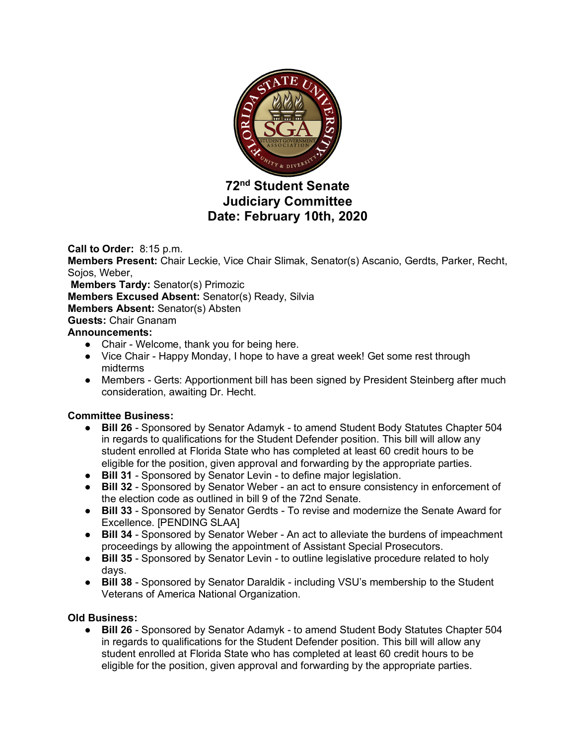

# **72nd Student Senate Judiciary Committee Date: February 10th, 2020**

**Call to Order:** 8:15 p.m. **Members Present:** Chair Leckie, Vice Chair Slimak, Senator(s) Ascanio, Gerdts, Parker, Recht, Sojos, Weber, **Members Tardy:** Senator(s) Primozic **Members Excused Absent:** Senator(s) Ready, Silvia **Members Absent:** Senator(s) Absten **Guests:** Chair Gnanam **Announcements:** • Chair - Welcome, thank you for being here. ● Vice Chair - Happy Monday, I hope to have a great week! Get some rest through midterms • Members - Gerts: Apportionment bill has been signed by President Steinberg after much consideration, awaiting Dr. Hecht.

## **Committee Business:**

- **Bill 26** Sponsored by Senator Adamyk to amend Student Body Statutes Chapter 504 in regards to qualifications for the Student Defender position. This bill will allow any student enrolled at Florida State who has completed at least 60 credit hours to be eligible for the position, given approval and forwarding by the appropriate parties.
- **Bill 31** Sponsored by Senator Levin to define major legislation.
- **Bill 32** Sponsored by Senator Weber an act to ensure consistency in enforcement of the election code as outlined in bill 9 of the 72nd Senate.
- **Bill 33** Sponsored by Senator Gerdts To revise and modernize the Senate Award for Excellence. [PENDING SLAA]
- **Bill 34** Sponsored by Senator Weber An act to alleviate the burdens of impeachment proceedings by allowing the appointment of Assistant Special Prosecutors.
- **Bill 35** Sponsored by Senator Levin to outline legislative procedure related to holy days.
- **Bill 38** Sponsored by Senator Daraldik including VSU's membership to the Student Veterans of America National Organization.

## **Old Business:**

● **Bill 26** - Sponsored by Senator Adamyk - to amend Student Body Statutes Chapter 504 in regards to qualifications for the Student Defender position. This bill will allow any student enrolled at Florida State who has completed at least 60 credit hours to be eligible for the position, given approval and forwarding by the appropriate parties.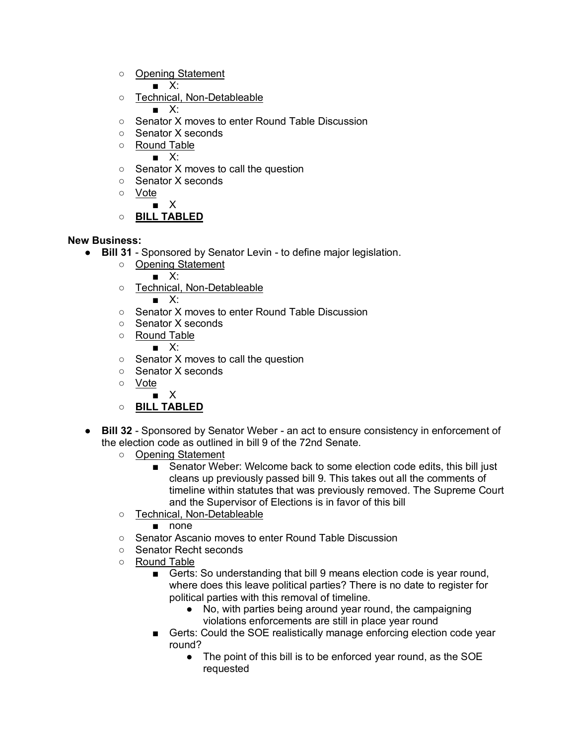○ Opening Statement

■ X:

○ Technical, Non-Detableable

 $\blacksquare$  X:

- Senator X moves to enter Round Table Discussion
- Senator X seconds
- Round Table

■ X:

- Senator X moves to call the question
- Senator X seconds
- Vote

■ X

○ **BILL TABLED**

## **New Business:**

- **Bill 31** Sponsored by Senator Levin to define major legislation.
	- Opening Statement ■ X:
	- Technical, Non-Detableable

■ X:

- Senator X moves to enter Round Table Discussion
- Senator X seconds
- Round Table

■ X:

- Senator X moves to call the question
- Senator X seconds
- Vote
	- X
- **BILL TABLED**
- **Bill 32** Sponsored by Senator Weber an act to ensure consistency in enforcement of the election code as outlined in bill 9 of the 72nd Senate.
	- Opening Statement
		- Senator Weber: Welcome back to some election code edits, this bill just cleans up previously passed bill 9. This takes out all the comments of timeline within statutes that was previously removed. The Supreme Court and the Supervisor of Elections is in favor of this bill
	- Technical, Non-Detableable

■ none

- Senator Ascanio moves to enter Round Table Discussion
- Senator Recht seconds
- Round Table
	- Gerts: So understanding that bill 9 means election code is year round, where does this leave political parties? There is no date to register for political parties with this removal of timeline.
		- No, with parties being around year round, the campaigning violations enforcements are still in place year round
	- Gerts: Could the SOE realistically manage enforcing election code year round?
		- The point of this bill is to be enforced year round, as the SOE requested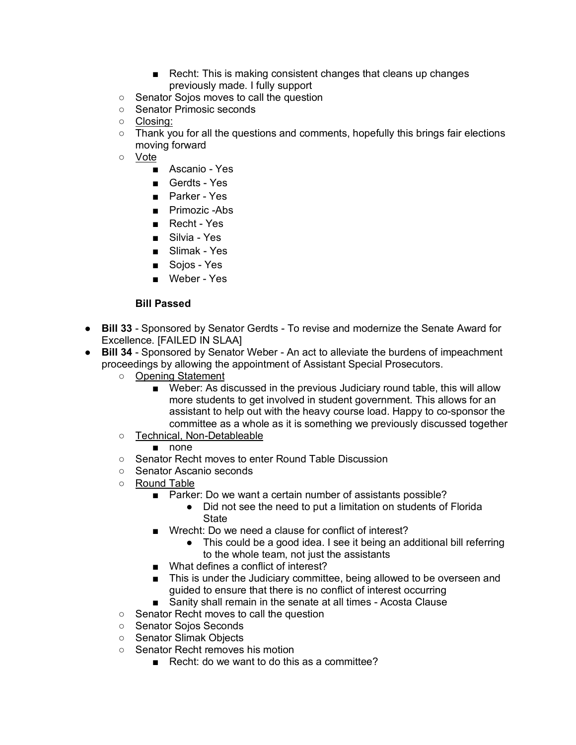- Recht: This is making consistent changes that cleans up changes previously made. I fully support
- Senator Sojos moves to call the question
- Senator Primosic seconds
- Closing:
- Thank you for all the questions and comments, hopefully this brings fair elections moving forward
- Vote
	- Ascanio Yes
	- Gerdts Yes
	- Parker Yes
	- Primozic -Abs
	- Recht Yes
	- Silvia Yes
	- Slimak Yes
	- Sojos Yes
	- Weber Yes

## **Bill Passed**

- **Bill 33** Sponsored by Senator Gerdts To revise and modernize the Senate Award for Excellence. [FAILED IN SLAA]
- **Bill 34** Sponsored by Senator Weber An act to alleviate the burdens of impeachment proceedings by allowing the appointment of Assistant Special Prosecutors.
	- Opening Statement
		- Weber: As discussed in the previous Judiciary round table, this will allow more students to get involved in student government. This allows for an assistant to help out with the heavy course load. Happy to co-sponsor the committee as a whole as it is something we previously discussed together
	- Technical, Non-Detableable

■ none

- Senator Recht moves to enter Round Table Discussion
- Senator Ascanio seconds
- Round Table
	- Parker: Do we want a certain number of assistants possible?
		- Did not see the need to put a limitation on students of Florida **State**
	- Wrecht: Do we need a clause for conflict of interest?
		- This could be a good idea. I see it being an additional bill referring to the whole team, not just the assistants
	- What defines a conflict of interest?
	- This is under the Judiciary committee, being allowed to be overseen and guided to ensure that there is no conflict of interest occurring
	- Sanity shall remain in the senate at all times Acosta Clause
- Senator Recht moves to call the question
- Senator Sojos Seconds
- Senator Slimak Objects
- Senator Recht removes his motion
	- Recht: do we want to do this as a committee?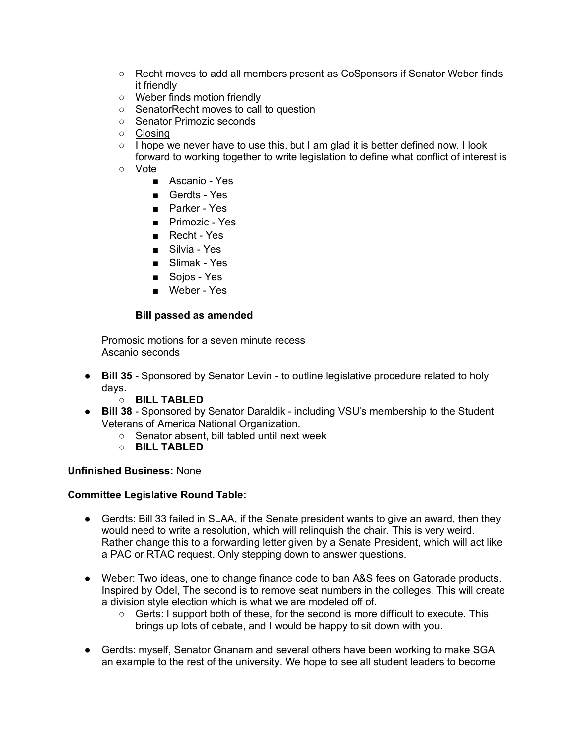- Recht moves to add all members present as CoSponsors if Senator Weber finds it friendly
- Weber finds motion friendly
- SenatorRecht moves to call to question
- Senator Primozic seconds
- Closing
- $\circ$  I hope we never have to use this, but I am glad it is better defined now. I look forward to working together to write legislation to define what conflict of interest is
- Vote
	- Ascanio Yes
	- Gerdts Yes
	- Parker Yes
	- Primozic Yes
	- Recht Yes
	- Silvia Yes
	- Slimak Yes
	- Sojos Yes
	- Weber Yes

### **Bill passed as amended**

Promosic motions for a seven minute recess Ascanio seconds

- **Bill 35** Sponsored by Senator Levin to outline legislative procedure related to holy days.
	- **BILL TABLED**
- **Bill 38** Sponsored by Senator Daraldik including VSU's membership to the Student Veterans of America National Organization.
	- Senator absent, bill tabled until next week
	- **BILL TABLED**

## **Unfinished Business:** None

## **Committee Legislative Round Table:**

- Gerdts: Bill 33 failed in SLAA, if the Senate president wants to give an award, then they would need to write a resolution, which will relinquish the chair. This is very weird. Rather change this to a forwarding letter given by a Senate President, which will act like a PAC or RTAC request. Only stepping down to answer questions.
- Weber: Two ideas, one to change finance code to ban A&S fees on Gatorade products. Inspired by Odel, The second is to remove seat numbers in the colleges. This will create a division style election which is what we are modeled off of.
	- Gerts: I support both of these, for the second is more difficult to execute. This brings up lots of debate, and I would be happy to sit down with you.
- Gerdts: myself, Senator Gnanam and several others have been working to make SGA an example to the rest of the university. We hope to see all student leaders to become